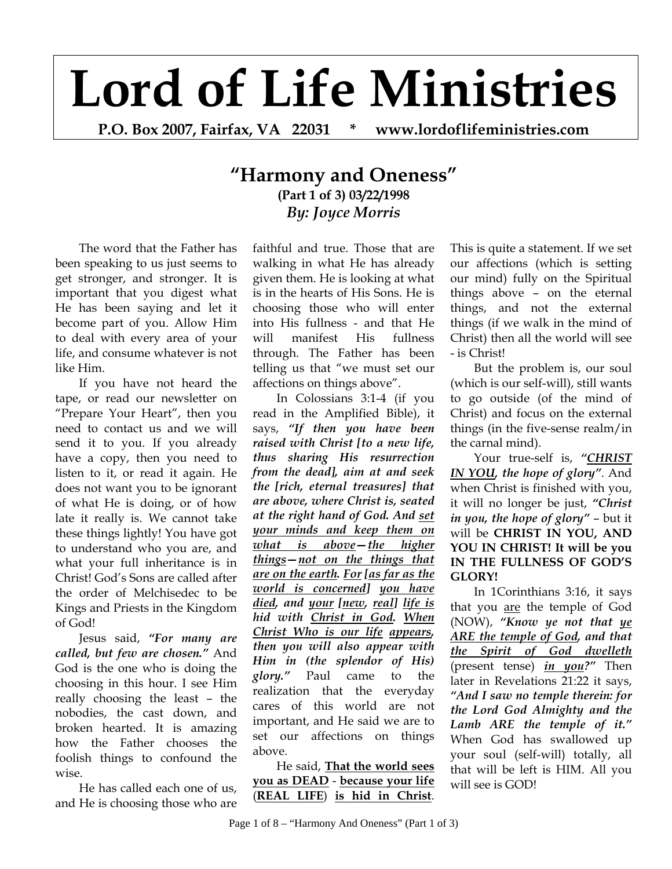## **Lord of Life Ministries**

**P.O. Box 2007, Fairfax, VA 22031 \* www.lordoflifeministries.com** 

## **"Harmony and Oneness" (Part 1 of 3) 03/22/1998**  *By: Joyce Morris*

The word that the Father has been speaking to us just seems to get stronger, and stronger. It is important that you digest what He has been saying and let it become part of you. Allow Him to deal with every area of your life, and consume whatever is not like Him.

If you have not heard the tape, or read our newsletter on "Prepare Your Heart", then you need to contact us and we will send it to you. If you already have a copy, then you need to listen to it, or read it again. He does not want you to be ignorant of what He is doing, or of how late it really is. We cannot take these things lightly! You have got to understand who you are, and what your full inheritance is in Christ! God's Sons are called after the order of Melchisedec to be Kings and Priests in the Kingdom of God!

Jesus said, *"For many are called, but few are chosen."* And God is the one who is doing the choosing in this hour. I see Him really choosing the least – the nobodies, the cast down, and broken hearted. It is amazing how the Father chooses the foolish things to confound the wise.

He has called each one of us, and He is choosing those who are faithful and true. Those that are walking in what He has already given them. He is looking at what is in the hearts of His Sons. He is choosing those who will enter into His fullness - and that He will manifest His fullness through. The Father has been telling us that "we must set our affections on things above".

In Colossians 3:1-4 (if you read in the Amplified Bible), it says, *"If then you have been raised with Christ [to a new life, thus sharing His resurrection from the dead], aim at and seek the [rich, eternal treasures] that are above, where Christ is, seated at the right hand of God. And set your minds and keep them on what is above—the higher things—not on the things that are on the earth. For [as far as the world is concerned] you have died, and your [new, real] life is hid with Christ in God. When Christ Who is our life appears, then you will also appear with Him in (the splendor of His) glory."* Paul came to the realization that the everyday cares of this world are not important, and He said we are to set our affections on things above.

He said, **That the world sees you as DEAD** - **because your life** (**REAL LIFE**) **is hid in Christ**.

This is quite a statement. If we set our affections (which is setting our mind) fully on the Spiritual things above – on the eternal things, and not the external things (if we walk in the mind of Christ) then all the world will see - is Christ!

But the problem is, our soul (which is our self-will), still wants to go outside (of the mind of Christ) and focus on the external things (in the five-sense realm/in the carnal mind).

Your true-self is, "CHRIST *IN YOU, the hope of glory"*. And when Christ is finished with you, it will no longer be just, *"Christ in you, the hope of glory"* – but it will be **CHRIST IN YOU, AND YOU IN CHRIST! It will be you IN THE FULLNESS OF GOD'S GLORY!** 

In 1Corinthians 3:16, it says that you are the temple of God (NOW), *"Know ye not that ye ARE the temple of God, and that the Spirit of God dwelleth* (present tense) *in you?"* Then later in Revelations 21:22 it says, *"And I saw no temple therein: for the Lord God Almighty and the Lamb ARE the temple of it."* When God has swallowed up your soul (self-will) totally, all that will be left is HIM. All you will see is GOD!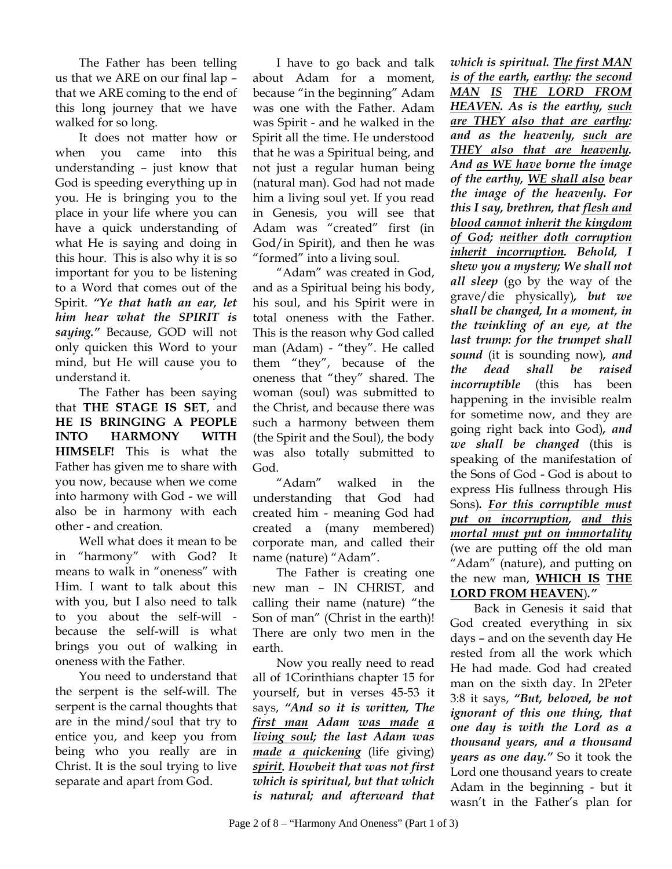The Father has been telling us that we ARE on our final lap – that we ARE coming to the end of this long journey that we have walked for so long.

It does not matter how or when you came into this understanding – just know that God is speeding everything up in you. He is bringing you to the place in your life where you can have a quick understanding of what He is saying and doing in this hour. This is also why it is so important for you to be listening to a Word that comes out of the Spirit. *"Ye that hath an ear, let him hear what the SPIRIT is saying."* Because, GOD will not only quicken this Word to your mind, but He will cause you to understand it.

The Father has been saying that **THE STAGE IS SET**, and **HE IS BRINGING A PEOPLE INTO HARMONY WITH HIMSELF!** This is what the Father has given me to share with you now, because when we come into harmony with God - we will also be in harmony with each other - and creation.

Well what does it mean to be in "harmony" with God? It means to walk in "oneness" with Him. I want to talk about this with you, but I also need to talk to you about the self-will because the self-will is what brings you out of walking in oneness with the Father.

You need to understand that the serpent is the self-will. The serpent is the carnal thoughts that are in the mind/soul that try to entice you, and keep you from being who you really are in Christ. It is the soul trying to live separate and apart from God.

I have to go back and talk about Adam for a moment, because "in the beginning" Adam was one with the Father. Adam was Spirit - and he walked in the Spirit all the time. He understood that he was a Spiritual being, and not just a regular human being (natural man). God had not made him a living soul yet. If you read in Genesis, you will see that Adam was "created" first (in God/in Spirit), and then he was "formed" into a living soul.

"Adam" was created in God, and as a Spiritual being his body, his soul, and his Spirit were in total oneness with the Father. This is the reason why God called man (Adam) - "they". He called them "they", because of the oneness that "they" shared. The woman (soul) was submitted to the Christ, and because there was such a harmony between them (the Spirit and the Soul), the body was also totally submitted to God.

"Adam" walked in the understanding that God had created him - meaning God had created a (many membered) corporate man, and called their name (nature) "Adam".

The Father is creating one new man – IN CHRIST, and calling their name (nature) "the Son of man" (Christ in the earth)! There are only two men in the earth.

Now you really need to read all of 1Corinthians chapter 15 for yourself, but in verses 45-53 it says, *"And so it is written, The first man Adam was made a living soul; the last Adam was made a quickening* (life giving) *spirit. Howbeit that was not first which is spiritual, but that which is natural; and afterward that* 

*which is spiritual. The first MAN is of the earth, earthy: the second MAN IS THE LORD FROM HEAVEN. As is the earthy, such are THEY also that are earthy: and as the heavenly, such are THEY also that are heavenly. And as WE have borne the image of the earthy, WE shall also bear the image of the heavenly. For this I say, brethren, that flesh and blood cannot inherit the kingdom of God; neither doth corruption inherit incorruption. Behold, I shew you a mystery; We shall not all sleep* (go by the way of the grave/die physically)*, but we shall be changed, In a moment, in the twinkling of an eye, at the last trump: for the trumpet shall sound* (it is sounding now)*, and the dead shall be raised incorruptible* (this has been happening in the invisible realm for sometime now, and they are going right back into God)*, and we shall be changed* (this is speaking of the manifestation of the Sons of God - God is about to express His fullness through His Sons)*. For this corruptible must put on incorruption, and this mortal must put on immortality* (we are putting off the old man "Adam" (nature), and putting on the new man, **WHICH IS THE LORD FROM HEAVEN**)*."* 

Back in Genesis it said that God created everything in six days – and on the seventh day He rested from all the work which He had made. God had created man on the sixth day. In 2Peter 3:8 it says, *"But, beloved, be not ignorant of this one thing, that one day is with the Lord as a thousand years, and a thousand years as one day."* So it took the Lord one thousand years to create Adam in the beginning - but it wasn't in the Father's plan for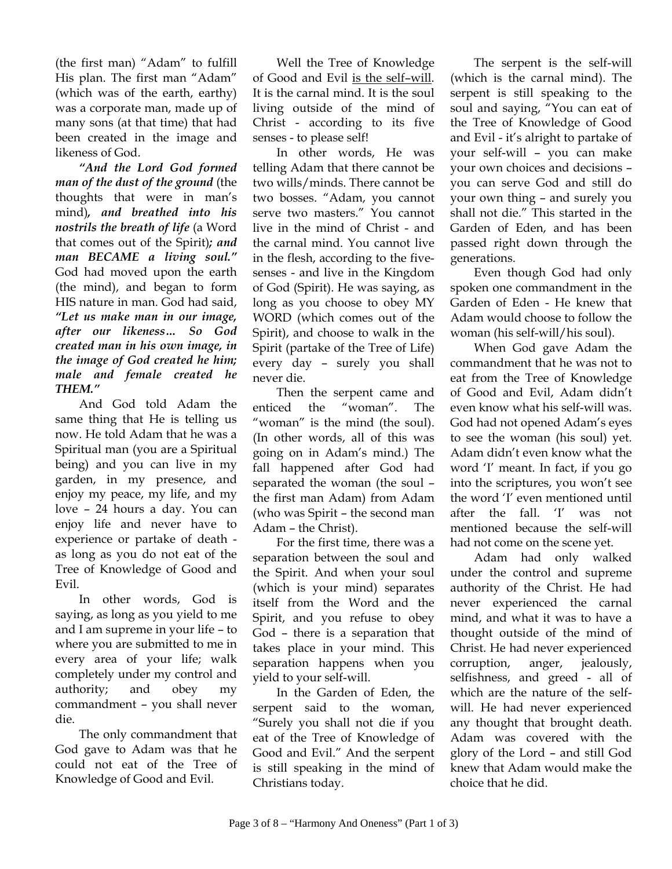(the first man) "Adam" to fulfill His plan. The first man "Adam" (which was of the earth, earthy) was a corporate man, made up of many sons (at that time) that had been created in the image and likeness of God.

*"And the Lord God formed man of the dust of the ground* (the thoughts that were in man's mind)*, and breathed into his nostrils the breath of life* (a Word that comes out of the Spirit)*; and man BECAME a living soul."* God had moved upon the earth (the mind), and began to form HIS nature in man. God had said, *"Let us make man in our image, after our likeness… So God created man in his own image, in the image of God created he him; male and female created he THEM."*

And God told Adam the same thing that He is telling us now. He told Adam that he was a Spiritual man (you are a Spiritual being) and you can live in my garden, in my presence, and enjoy my peace, my life, and my love – 24 hours a day. You can enjoy life and never have to experience or partake of death as long as you do not eat of the Tree of Knowledge of Good and Evil.

In other words, God is saying, as long as you yield to me and I am supreme in your life – to where you are submitted to me in every area of your life; walk completely under my control and authority; and obey my commandment – you shall never die.

The only commandment that God gave to Adam was that he could not eat of the Tree of Knowledge of Good and Evil.

Well the Tree of Knowledge of Good and Evil is the self–will. It is the carnal mind. It is the soul living outside of the mind of Christ - according to its five senses - to please self!

In other words, He was telling Adam that there cannot be two wills/minds. There cannot be two bosses. "Adam, you cannot serve two masters." You cannot live in the mind of Christ - and the carnal mind. You cannot live in the flesh, according to the fivesenses - and live in the Kingdom of God (Spirit). He was saying, as long as you choose to obey MY WORD (which comes out of the Spirit), and choose to walk in the Spirit (partake of the Tree of Life) every day – surely you shall never die.

Then the serpent came and enticed the "woman". The "woman" is the mind (the soul). (In other words, all of this was going on in Adam's mind.) The fall happened after God had separated the woman (the soul – the first man Adam) from Adam (who was Spirit – the second man Adam – the Christ).

For the first time, there was a separation between the soul and the Spirit. And when your soul (which is your mind) separates itself from the Word and the Spirit, and you refuse to obey God – there is a separation that takes place in your mind. This separation happens when you yield to your self-will.

In the Garden of Eden, the serpent said to the woman, "Surely you shall not die if you eat of the Tree of Knowledge of Good and Evil." And the serpent is still speaking in the mind of Christians today.

The serpent is the self-will (which is the carnal mind). The serpent is still speaking to the soul and saying, "You can eat of the Tree of Knowledge of Good and Evil - it's alright to partake of your self-will – you can make your own choices and decisions – you can serve God and still do your own thing – and surely you shall not die." This started in the Garden of Eden, and has been passed right down through the generations.

Even though God had only spoken one commandment in the Garden of Eden - He knew that Adam would choose to follow the woman (his self-will/his soul).

When God gave Adam the commandment that he was not to eat from the Tree of Knowledge of Good and Evil, Adam didn't even know what his self-will was. God had not opened Adam's eyes to see the woman (his soul) yet. Adam didn't even know what the word 'I' meant. In fact, if you go into the scriptures, you won't see the word 'I' even mentioned until after the fall. 'I' was not mentioned because the self-will had not come on the scene yet.

Adam had only walked under the control and supreme authority of the Christ. He had never experienced the carnal mind, and what it was to have a thought outside of the mind of Christ. He had never experienced corruption, anger, jealously, selfishness, and greed - all of which are the nature of the selfwill. He had never experienced any thought that brought death. Adam was covered with the glory of the Lord – and still God knew that Adam would make the choice that he did.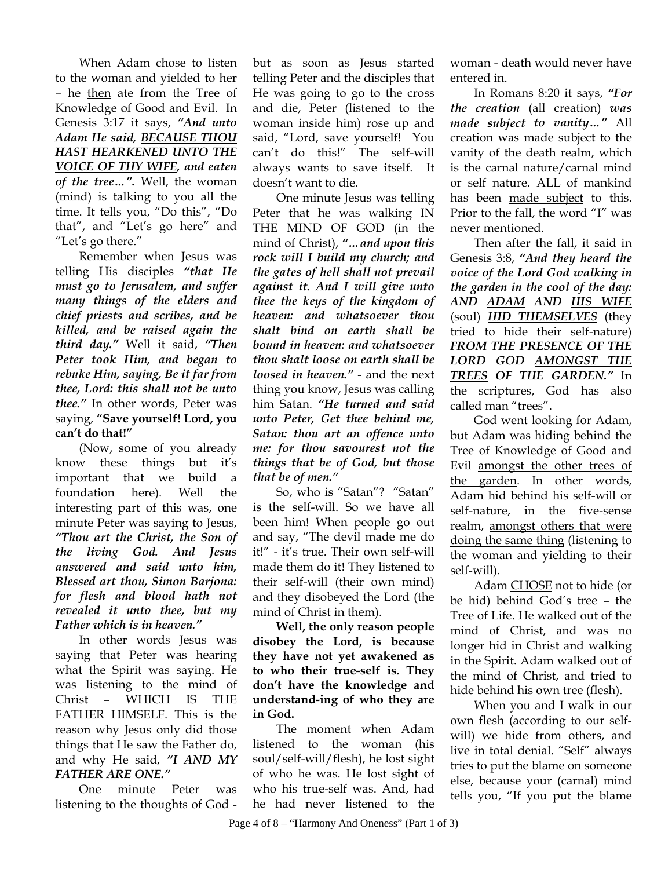When Adam chose to listen to the woman and yielded to her – he then ate from the Tree of Knowledge of Good and Evil. In Genesis 3:17 it says, *"And unto Adam He said, BECAUSE THOU HAST HEARKENED UNTO THE VOICE OF THY WIFE, and eaten of the tree…".* Well, the woman (mind) is talking to you all the time. It tells you, "Do this", "Do that", and "Let's go here" and "Let's go there."

Remember when Jesus was telling His disciples *"that He must go to Jerusalem, and suffer many things of the elders and chief priests and scribes, and be killed, and be raised again the third day."* Well it said, *"Then Peter took Him, and began to rebuke Him, saying, Be it far from thee, Lord: this shall not be unto thee."* In other words, Peter was saying, **"Save yourself! Lord, you can't do that!"** 

(Now, some of you already know these things but it's important that we build a foundation here). Well the interesting part of this was, one minute Peter was saying to Jesus, *"Thou art the Christ, the Son of the living God. And Jesus answered and said unto him, Blessed art thou, Simon Barjona: for flesh and blood hath not revealed it unto thee, but my Father which is in heaven."* 

In other words Jesus was saying that Peter was hearing what the Spirit was saying. He was listening to the mind of Christ – WHICH IS THE FATHER HIMSELF. This is the reason why Jesus only did those things that He saw the Father do, and why He said, *"I AND MY FATHER ARE ONE."* 

One minute Peter was listening to the thoughts of God - but as soon as Jesus started telling Peter and the disciples that He was going to go to the cross and die, Peter (listened to the woman inside him) rose up and said, "Lord, save yourself! You can't do this!" The self-will always wants to save itself. It doesn't want to die.

One minute Jesus was telling Peter that he was walking IN THE MIND OF GOD (in the mind of Christ), *"…and upon this rock will I build my church; and the gates of hell shall not prevail against it. And I will give unto thee the keys of the kingdom of heaven: and whatsoever thou shalt bind on earth shall be bound in heaven: and whatsoever thou shalt loose on earth shall be loosed in heaven."* - and the next thing you know, Jesus was calling him Satan. *"He turned and said unto Peter, Get thee behind me, Satan: thou art an offence unto me: for thou savourest not the things that be of God, but those that be of men."*

So, who is "Satan"? "Satan" is the self-will. So we have all been him! When people go out and say, "The devil made me do it!" - it's true. Their own self-will made them do it! They listened to their self-will (their own mind) and they disobeyed the Lord (the mind of Christ in them).

**Well, the only reason people disobey the Lord, is because they have not yet awakened as to who their true-self is. They don't have the knowledge and understand-ing of who they are in God.** 

The moment when Adam listened to the woman (his soul/self-will/flesh), he lost sight of who he was. He lost sight of who his true-self was. And, had he had never listened to the

woman - death would never have entered in.

In Romans 8:20 it says, *"For the creation* (all creation) *was made subject to vanity…"* All creation was made subject to the vanity of the death realm, which is the carnal nature/carnal mind or self nature. ALL of mankind has been made subject to this. Prior to the fall, the word "I" was never mentioned.

Then after the fall, it said in Genesis 3:8, *"And they heard the voice of the Lord God walking in the garden in the cool of the day: AND ADAM AND HIS WIFE* (soul) *HID THEMSELVES* (they tried to hide their self-nature) *FROM THE PRESENCE OF THE LORD GOD AMONGST THE TREES OF THE GARDEN."* In the scriptures, God has also called man "trees".

God went looking for Adam, but Adam was hiding behind the Tree of Knowledge of Good and Evil amongst the other trees of the garden. In other words, Adam hid behind his self-will or self-nature, in the five-sense realm, amongst others that were doing the same thing (listening to the woman and yielding to their self-will).

Adam CHOSE not to hide (or be hid) behind God's tree – the Tree of Life. He walked out of the mind of Christ, and was no longer hid in Christ and walking in the Spirit. Adam walked out of the mind of Christ, and tried to hide behind his own tree (flesh).

When you and I walk in our own flesh (according to our selfwill) we hide from others, and live in total denial. "Self" always tries to put the blame on someone else, because your (carnal) mind tells you, "If you put the blame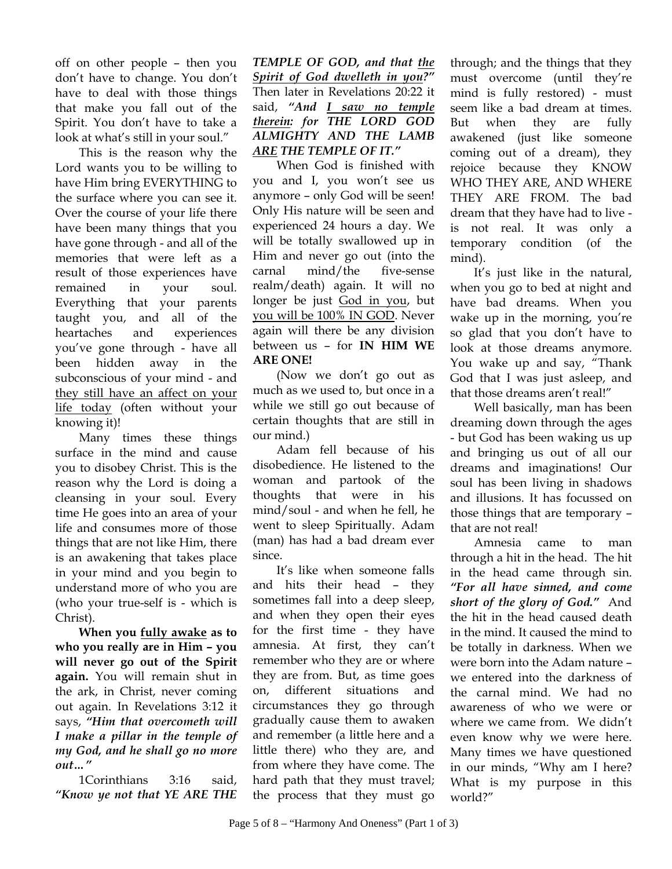off on other people – then you don't have to change. You don't have to deal with those things that make you fall out of the Spirit. You don't have to take a look at what's still in your soul."

This is the reason why the Lord wants you to be willing to have Him bring EVERYTHING to the surface where you can see it. Over the course of your life there have been many things that you have gone through - and all of the memories that were left as a result of those experiences have remained in your soul. Everything that your parents taught you, and all of the heartaches and experiences you've gone through - have all been hidden away in the subconscious of your mind - and they still have an affect on your life today (often without your knowing it)!

Many times these things surface in the mind and cause you to disobey Christ. This is the reason why the Lord is doing a cleansing in your soul. Every time He goes into an area of your life and consumes more of those things that are not like Him, there is an awakening that takes place in your mind and you begin to understand more of who you are (who your true-self is - which is Christ).

**When you fully awake as to who you really are in Him – you will never go out of the Spirit again.** You will remain shut in the ark, in Christ, never coming out again. In Revelations 3:12 it says, *"Him that overcometh will I make a pillar in the temple of my God, and he shall go no more out…"* 

1Corinthians 3:16 said, *"Know ye not that YE ARE THE*  *TEMPLE OF GOD, and that the Spirit of God dwelleth in you?"* Then later in Revelations 20:22 it said, *"And I saw no temple therein: for THE LORD GOD ALMIGHTY AND THE LAMB ARE THE TEMPLE OF IT."*

When God is finished with you and I, you won't see us anymore – only God will be seen! Only His nature will be seen and experienced 24 hours a day. We will be totally swallowed up in Him and never go out (into the carnal mind/the five-sense realm/death) again. It will no longer be just God in you, but you will be 100% IN GOD. Never again will there be any division between us – for **IN HIM WE ARE ONE!** 

(Now we don't go out as much as we used to, but once in a while we still go out because of certain thoughts that are still in our mind.)

Adam fell because of his disobedience. He listened to the woman and partook of the thoughts that were in his mind/soul - and when he fell, he went to sleep Spiritually. Adam (man) has had a bad dream ever since.

It's like when someone falls and hits their head – they sometimes fall into a deep sleep, and when they open their eyes for the first time - they have amnesia. At first, they can't remember who they are or where they are from. But, as time goes on, different situations and circumstances they go through gradually cause them to awaken and remember (a little here and a little there) who they are, and from where they have come. The hard path that they must travel; the process that they must go

through; and the things that they must overcome (until they're mind is fully restored) - must seem like a bad dream at times. But when they are fully awakened (just like someone coming out of a dream), they rejoice because they KNOW WHO THEY ARE, AND WHERE THEY ARE FROM. The bad dream that they have had to live is not real. It was only a temporary condition (of the mind).

It's just like in the natural, when you go to bed at night and have bad dreams. When you wake up in the morning, you're so glad that you don't have to look at those dreams anymore. You wake up and say, "Thank God that I was just asleep, and that those dreams aren't real!"

Well basically, man has been dreaming down through the ages - but God has been waking us up and bringing us out of all our dreams and imaginations! Our soul has been living in shadows and illusions. It has focussed on those things that are temporary – that are not real!

Amnesia came to man through a hit in the head. The hit in the head came through sin. *"For all have sinned, and come short of the glory of God."* And the hit in the head caused death in the mind. It caused the mind to be totally in darkness. When we were born into the Adam nature – we entered into the darkness of the carnal mind. We had no awareness of who we were or where we came from. We didn't even know why we were here. Many times we have questioned in our minds, "Why am I here? What is my purpose in this world?"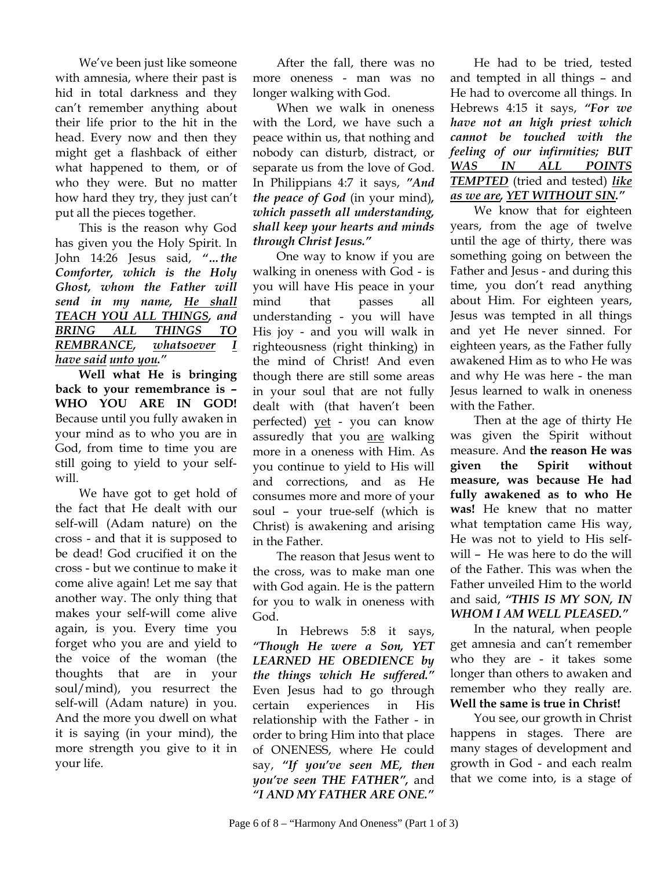We've been just like someone with amnesia, where their past is hid in total darkness and they can't remember anything about their life prior to the hit in the head. Every now and then they might get a flashback of either what happened to them, or of who they were. But no matter how hard they try, they just can't put all the pieces together.

This is the reason why God has given you the Holy Spirit. In John 14:26 Jesus said, *"…the Comforter, which is the Holy Ghost, whom the Father will send in my name, He shall TEACH YOU ALL THINGS, and BRING ALL THINGS TO REMBRANCE, whatsoever I have said unto you."* 

**Well what He is bringing back to your remembrance is – WHO YOU ARE IN GOD!**  Because until you fully awaken in your mind as to who you are in God, from time to time you are still going to yield to your selfwill.

We have got to get hold of the fact that He dealt with our self-will (Adam nature) on the cross - and that it is supposed to be dead! God crucified it on the cross - but we continue to make it come alive again! Let me say that another way. The only thing that makes your self-will come alive again, is you. Every time you forget who you are and yield to the voice of the woman (the thoughts that are in your soul/mind), you resurrect the self-will (Adam nature) in you. And the more you dwell on what it is saying (in your mind), the more strength you give to it in your life.

After the fall, there was no more oneness - man was no longer walking with God.

When we walk in oneness with the Lord, we have such a peace within us, that nothing and nobody can disturb, distract, or separate us from the love of God. In Philippians 4:7 it says, *"And the peace of God* (in your mind)*, which passeth all understanding, shall keep your hearts and minds through Christ Jesus."* 

One way to know if you are walking in oneness with God - is you will have His peace in your mind that passes all understanding - you will have His joy - and you will walk in righteousness (right thinking) in the mind of Christ! And even though there are still some areas in your soul that are not fully dealt with (that haven't been perfected) yet - you can know assuredly that you are walking more in a oneness with Him. As you continue to yield to His will and corrections, and as He consumes more and more of your soul – your true-self (which is Christ) is awakening and arising in the Father.

The reason that Jesus went to the cross, was to make man one with God again. He is the pattern for you to walk in oneness with God.

In Hebrews 5:8 it says, *"Though He were a Son, YET LEARNED HE OBEDIENCE by the things which He suffered."* Even Jesus had to go through certain experiences in His relationship with the Father - in order to bring Him into that place of ONENESS, where He could say, *"If you've seen ME, then you've seen THE FATHER",* and *"I AND MY FATHER ARE ONE."*

He had to be tried, tested and tempted in all things – and He had to overcome all things. In Hebrews 4:15 it says, *"For we have not an high priest which cannot be touched with the feeling of our infirmities; BUT WAS IN ALL POINTS TEMPTED* (tried and tested) *like as we are, YET WITHOUT SIN."* 

We know that for eighteen years, from the age of twelve until the age of thirty, there was something going on between the Father and Jesus - and during this time, you don't read anything about Him. For eighteen years, Jesus was tempted in all things and yet He never sinned. For eighteen years, as the Father fully awakened Him as to who He was and why He was here - the man Jesus learned to walk in oneness with the Father.

Then at the age of thirty He was given the Spirit without measure. And **the reason He was given the Spirit without measure, was because He had fully awakened as to who He was!** He knew that no matter what temptation came His way, He was not to yield to His selfwill – He was here to do the will of the Father. This was when the Father unveiled Him to the world and said, *"THIS IS MY SON, IN WHOM I AM WELL PLEASED."*

In the natural, when people get amnesia and can't remember who they are - it takes some longer than others to awaken and remember who they really are. **Well the same is true in Christ!** 

You see, our growth in Christ happens in stages. There are many stages of development and growth in God - and each realm that we come into, is a stage of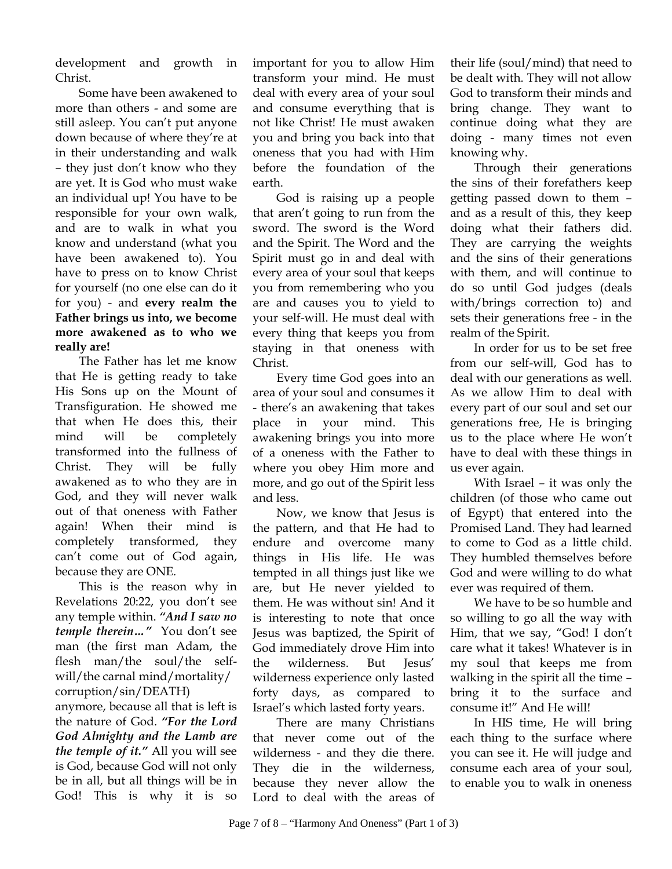development and growth in Christ.

Some have been awakened to more than others - and some are still asleep. You can't put anyone down because of where they're at in their understanding and walk – they just don't know who they are yet. It is God who must wake an individual up! You have to be responsible for your own walk, and are to walk in what you know and understand (what you have been awakened to). You have to press on to know Christ for yourself (no one else can do it for you) - and **every realm the Father brings us into, we become more awakened as to who we really are!** 

The Father has let me know that He is getting ready to take His Sons up on the Mount of Transfiguration. He showed me that when He does this, their mind will be completely transformed into the fullness of Christ. They will be fully awakened as to who they are in God, and they will never walk out of that oneness with Father again! When their mind is completely transformed, they can't come out of God again, because they are ONE.

This is the reason why in Revelations 20:22, you don't see any temple within. *"And I saw no temple therein…"* You don't see man (the first man Adam, the flesh man/the soul/the selfwill/the carnal mind/mortality/ corruption/sin/DEATH) anymore, because all that is left is

the nature of God. *"For the Lord God Almighty and the Lamb are the temple of it."* All you will see is God, because God will not only be in all, but all things will be in God! This is why it is so

important for you to allow Him transform your mind. He must deal with every area of your soul and consume everything that is not like Christ! He must awaken you and bring you back into that oneness that you had with Him before the foundation of the earth.

God is raising up a people that aren't going to run from the sword. The sword is the Word and the Spirit. The Word and the Spirit must go in and deal with every area of your soul that keeps you from remembering who you are and causes you to yield to your self-will. He must deal with every thing that keeps you from staying in that oneness with Christ.

Every time God goes into an area of your soul and consumes it - there's an awakening that takes place in your mind. This awakening brings you into more of a oneness with the Father to where you obey Him more and more, and go out of the Spirit less and less.

Now, we know that Jesus is the pattern, and that He had to endure and overcome many things in His life. He was tempted in all things just like we are, but He never yielded to them. He was without sin! And it is interesting to note that once Jesus was baptized, the Spirit of God immediately drove Him into the wilderness. But Jesus' wilderness experience only lasted forty days, as compared to Israel's which lasted forty years.

There are many Christians that never come out of the wilderness - and they die there. They die in the wilderness, because they never allow the Lord to deal with the areas of

their life (soul/mind) that need to be dealt with. They will not allow God to transform their minds and bring change. They want to continue doing what they are doing - many times not even knowing why.

Through their generations the sins of their forefathers keep getting passed down to them – and as a result of this, they keep doing what their fathers did. They are carrying the weights and the sins of their generations with them, and will continue to do so until God judges (deals with/brings correction to) and sets their generations free - in the realm of the Spirit.

In order for us to be set free from our self-will, God has to deal with our generations as well. As we allow Him to deal with every part of our soul and set our generations free, He is bringing us to the place where He won't have to deal with these things in us ever again.

With Israel – it was only the children (of those who came out of Egypt) that entered into the Promised Land. They had learned to come to God as a little child. They humbled themselves before God and were willing to do what ever was required of them.

We have to be so humble and so willing to go all the way with Him, that we say, "God! I don't care what it takes! Whatever is in my soul that keeps me from walking in the spirit all the time – bring it to the surface and consume it!" And He will!

In HIS time, He will bring each thing to the surface where you can see it. He will judge and consume each area of your soul, to enable you to walk in oneness